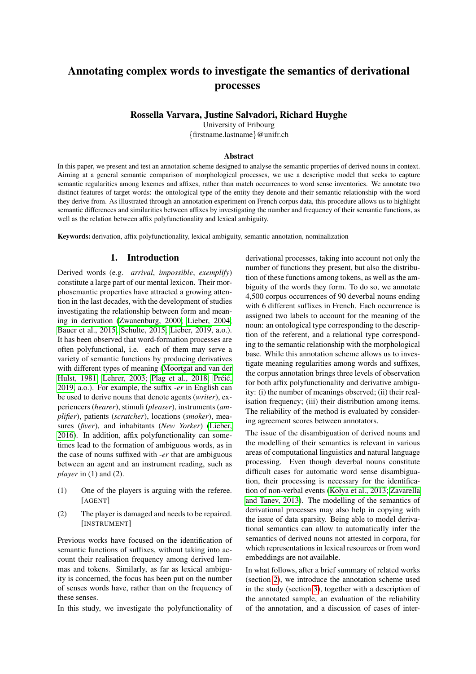# Annotating complex words to investigate the semantics of derivational processes

#### Rossella Varvara, Justine Salvadori, Richard Huyghe

University of Fribourg {firstname.lastname}@unifr.ch

#### Abstract

In this paper, we present and test an annotation scheme designed to analyse the semantic properties of derived nouns in context. Aiming at a general semantic comparison of morphological processes, we use a descriptive model that seeks to capture semantic regularities among lexemes and affixes, rather than match occurrences to word sense inventories. We annotate two distinct features of target words: the ontological type of the entity they denote and their semantic relationship with the word they derive from. As illustrated through an annotation experiment on French corpus data, this procedure allows us to highlight semantic differences and similarities between affixes by investigating the number and frequency of their semantic functions, as well as the relation between affix polyfunctionality and lexical ambiguity.

Keywords: derivation, affix polyfunctionality, lexical ambiguity, semantic annotation, nominalization

## 1. Introduction

Derived words (e.g. *arrival*, *impossible*, *exemplify*) constitute a large part of our mental lexicon. Their morphosemantic properties have attracted a growing attention in the last decades, with the development of studies investigating the relationship between form and meaning in derivation [\(Zwanenburg, 2000;](#page-8-0) [Lieber, 2004;](#page-7-0) [Bauer et al., 2015;](#page-6-0) [Schulte, 2015;](#page-7-1) [Lieber, 2019,](#page-7-2) a.o.). It has been observed that word-formation processes are often polyfunctional, i.e. each of them may serve a variety of semantic functions by producing derivatives with different types of meaning [\(Moortgat and van der](#page-7-3) [Hulst, 1981;](#page-7-3) [Lehrer, 2003;](#page-7-4) [Plag et al., 2018;](#page-7-5) Prcic, [2019,](#page-7-6) a.o.). For example, the suffix -*er* in English can be used to derive nouns that denote agents (*writer*), experiencers (*hearer*), stimuli (*pleaser*), instruments (*amplifier*), patients (*scratcher*), locations (*smoker*), measures (*fiver*), and inhabitants (*New Yorker*) [\(Lieber,](#page-7-7) [2016\)](#page-7-7). In addition, affix polyfunctionality can sometimes lead to the formation of ambiguous words, as in the case of nouns suffixed with -*er* that are ambiguous between an agent and an instrument reading, such as *player* in (1) and (2).

- (1) One of the players is arguing with the referee. [AGENT]
- (2) The player is damaged and needs to be repaired. [INSTRUMENT]

Previous works have focused on the identification of semantic functions of suffixes, without taking into account their realisation frequency among derived lemmas and tokens. Similarly, as far as lexical ambiguity is concerned, the focus has been put on the number of senses words have, rather than on the frequency of these senses.

In this study, we investigate the polyfunctionality of

derivational processes, taking into account not only the number of functions they present, but also the distribution of these functions among tokens, as well as the ambiguity of the words they form. To do so, we annotate 4,500 corpus occurrences of 90 deverbal nouns ending with 6 different suffixes in French. Each occurrence is assigned two labels to account for the meaning of the noun: an ontological type corresponding to the description of the referent, and a relational type corresponding to the semantic relationship with the morphological base. While this annotation scheme allows us to investigate meaning regularities among words and suffixes, the corpus annotation brings three levels of observation for both affix polyfunctionality and derivative ambiguity: (i) the number of meanings observed; (ii) their realisation frequency; (iii) their distribution among items. The reliability of the method is evaluated by considering agreement scores between annotators.

The issue of the disambiguation of derived nouns and the modelling of their semantics is relevant in various areas of computational linguistics and natural language processing. Even though deverbal nouns constitute difficult cases for automatic word sense disambiguation, their processing is necessary for the identification of non-verbal events [\(Kolya et al., 2013;](#page-7-8) [Zavarella](#page-7-9) [and Tanev, 2013\)](#page-7-9). The modelling of the semantics of derivational processes may also help in copying with the issue of data sparsity. Being able to model derivational semantics can allow to automatically infer the semantics of derived nouns not attested in corpora, for which representations in lexical resources or from word embeddings are not available.

In what follows, after a brief summary of related works (section [2\)](#page-1-0), we introduce the annotation scheme used in the study (section [3\)](#page-1-1), together with a description of the annotated sample, an evaluation of the reliability of the annotation, and a discussion of cases of inter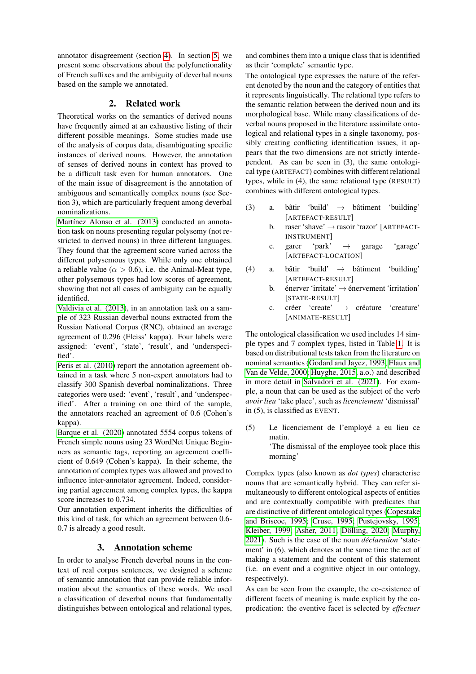annotator disagreement (section [4\)](#page-2-0). In section [5,](#page-3-0) we present some observations about the polyfunctionality of French suffixes and the ambiguity of deverbal nouns based on the sample we annotated.

### 2. Related work

<span id="page-1-0"></span>Theoretical works on the semantics of derived nouns have frequently aimed at an exhaustive listing of their different possible meanings. Some studies made use of the analysis of corpus data, disambiguating specific instances of derived nouns. However, the annotation of senses of derived nouns in context has proved to be a difficult task even for human annotators. One of the main issue of disagreement is the annotation of ambiguous and semantically complex nouns (see Section 3), which are particularly frequent among deverbal nominalizations.

Martínez Alonso et al. (2013) conducted an annotation task on nouns presenting regular polysemy (not restricted to derived nouns) in three different languages. They found that the agreement score varied across the different polysemous types. While only one obtained a reliable value ( $\alpha > 0.6$ ), i.e. the Animal-Meat type, other polysemous types had low scores of agreement, showing that not all cases of ambiguity can be equally identified.

[Valdivia et al. \(2013\)](#page-7-11), in an annotation task on a sample of 323 Russian deverbal nouns extracted from the Russian National Corpus (RNC), obtained an average agreement of 0.296 (Fleiss' kappa). Four labels were assigned: 'event', 'state', 'result', and 'underspecified'.

[Peris et al. \(2010\)](#page-7-12) report the annotation agreement obtained in a task where 5 non-expert annotators had to classify 300 Spanish deverbal nominalizations. Three categories were used: 'event', 'result', and 'underspecified'. After a training on one third of the sample, the annotators reached an agreement of 0.6 (Cohen's kappa).

[Barque et al. \(2020\)](#page-6-1) annotated 5554 corpus tokens of French simple nouns using 23 WordNet Unique Beginners as semantic tags, reporting an agreement coefficient of 0.649 (Cohen's kappa). In their scheme, the annotation of complex types was allowed and proved to influence inter-annotator agreement. Indeed, considering partial agreement among complex types, the kappa score increases to 0.734.

Our annotation experiment inherits the difficulties of this kind of task, for which an agreement between 0.6- 0.7 is already a good result.

# 3. Annotation scheme

<span id="page-1-1"></span>In order to analyse French deverbal nouns in the context of real corpus sentences, we designed a scheme of semantic annotation that can provide reliable information about the semantics of these words. We used a classification of deverbal nouns that fundamentally distinguishes between ontological and relational types,

and combines them into a unique class that is identified as their 'complete' semantic type.

The ontological type expresses the nature of the referent denoted by the noun and the category of entities that it represents linguistically. The relational type refers to the semantic relation between the derived noun and its morphological base. While many classifications of deverbal nouns proposed in the literature assimilate ontological and relational types in a single taxonomy, possibly creating conflicting identification issues, it appears that the two dimensions are not strictly interdependent. As can be seen in (3), the same ontological type (ARTEFACT) combines with different relational types, while in (4), the same relational type (RESULT) combines with different ontological types.

- (3) a. bâtir 'build'  $\rightarrow$  bâtiment 'building' [ARTEFACT-RESULT]
	- b. raser 'shave'  $\rightarrow$  rasoir 'razor' [ARTEFACT-INSTRUMENT]
	- c. garer 'park'  $\rightarrow$  garage 'garage' [ARTEFACT-LOCATION]
- (4) a. bâtir 'build'  $\rightarrow$  bâtiment 'building' [ARTEFACT-RESULT]
	- b. énerver 'irritate'  $\rightarrow$  énervement 'irritation' [STATE-RESULT]
	- c. créer 'create'  $\rightarrow$  créature 'creature' [ANIMATE-RESULT]

The ontological classification we used includes 14 simple types and 7 complex types, listed in Table [1.](#page-2-1) It is based on distributional tests taken from the literature on nominal semantics [\(Godard and Jayez, 1993;](#page-6-2) [Flaux and](#page-6-3) [Van de Velde, 2000;](#page-6-3) [Huyghe, 2015,](#page-6-4) a.o.) and described in more detail in [Salvadori et al. \(2021\)](#page-7-13). For example, a noun that can be used as the subject of the verb *avoir lieu* 'take place', such as *licenciement* 'dismissal' in (5), is classified as EVENT.

(5) Le licenciement de l'employé a eu lieu ce matin.

'The dismissal of the employee took place this morning'

Complex types (also known as *dot types*) characterise nouns that are semantically hybrid. They can refer simultaneously to different ontological aspects of entities and are contextually compatible with predicates that are distinctive of different ontological types [\(Copestake](#page-6-5) [and Briscoe, 1995;](#page-6-5) [Cruse, 1995;](#page-6-6) [Pustejovsky, 1995;](#page-7-14) [Kleiber, 1999;](#page-7-15) [Asher, 2011;](#page-6-7) Dölling, 2020; [Murphy,](#page-7-16) [2021\)](#page-7-16). Such is the case of the noun *declaration ´* 'statement' in (6), which denotes at the same time the act of making a statement and the content of this statement (i.e. an event and a cognitive object in our ontology, respectively).

As can be seen from the example, the co-existence of different facets of meaning is made explicit by the copredication: the eventive facet is selected by *effectuer*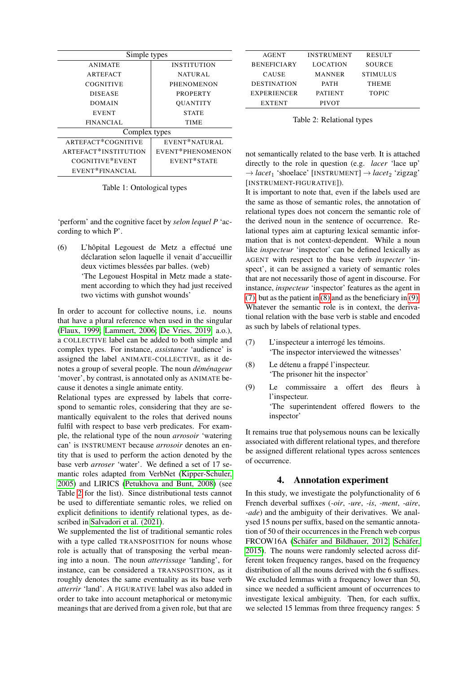| Simple types         |                    |  |  |  |  |
|----------------------|--------------------|--|--|--|--|
| <b>ANIMATE</b>       | <b>INSTITUTION</b> |  |  |  |  |
| <b>ARTEFACT</b>      | <b>NATURAL</b>     |  |  |  |  |
| <b>COGNITIVE</b>     | <b>PHENOMENON</b>  |  |  |  |  |
| <b>DISEASE</b>       | <b>PROPERTY</b>    |  |  |  |  |
| DOMAIN               | <b>OUANTITY</b>    |  |  |  |  |
| <b>EVENT</b>         | <b>STATE</b>       |  |  |  |  |
| <b>FINANCIAL</b>     | TIME               |  |  |  |  |
| Complex types        |                    |  |  |  |  |
| ARTEFACT*COGNITIVE   | EVENT*NATURAL      |  |  |  |  |
| ARTEFACT*INSTITUTION | EVENT*PHENOMENON   |  |  |  |  |
| COGNITIVE*EVENT      | EVENT*STATE        |  |  |  |  |
| EVENT*FINANCIAL      |                    |  |  |  |  |

<span id="page-2-1"></span>Table 1: Ontological types

'perform' and the cognitive facet by *selon lequel P* 'according to which P'.

 $(6)$  L'hôpital Legouest de Metz a effectué une déclaration selon laquelle il venait d'accueillir deux victimes blessées par balles. (web) 'The Legouest Hospital in Metz made a statement according to which they had just received two victims with gunshot wounds'

In order to account for collective nouns, i.e. nouns that have a plural reference when used in the singular [\(Flaux, 1999;](#page-6-9) [Lammert, 2006;](#page-7-17) [De Vries, 2019,](#page-6-10) a.o.), a COLLECTIVE label can be added to both simple and complex types. For instance, *assistance* 'audience' is assigned the label ANIMATE-COLLECTIVE, as it denotes a group of several people. The noun *déménageur* 'mover', by contrast, is annotated only as ANIMATE because it denotes a single animate entity.

Relational types are expressed by labels that correspond to semantic roles, considering that they are semantically equivalent to the roles that derived nouns fulfil with respect to base verb predicates. For example, the relational type of the noun *arrosoir* 'watering can' is INSTRUMENT because *arrosoir* denotes an entity that is used to perform the action denoted by the base verb *arroser* 'water'. We defined a set of 17 semantic roles adapted from VerbNet [\(Kipper-Schuler,](#page-7-18) [2005\)](#page-7-18) and LIRICS [\(Petukhova and Bunt, 2008\)](#page-7-19) (see Table [2](#page-2-2) for the list). Since distributional tests cannot be used to differentiate semantic roles, we relied on explicit definitions to identify relational types, as described in [Salvadori et al. \(2021\)](#page-7-13).

We supplemented the list of traditional semantic roles with a type called TRANSPOSITION for nouns whose role is actually that of transposing the verbal meaning into a noun. The noun *atterrissage* 'landing', for instance, can be considered a TRANSPOSITION, as it roughly denotes the same eventuality as its base verb *atterrir* 'land'. A FIGURATIVE label was also added in order to take into account metaphorical or metonymic meanings that are derived from a given role, but that are

| AGENT              | <b>INSTRUMENT</b> | <b>RESULT</b>   |
|--------------------|-------------------|-----------------|
| <b>BENEFICIARY</b> | <b>LOCATION</b>   | SOURCE          |
| <b>CAUSE</b>       | <b>MANNER</b>     | <b>STIMULUS</b> |
| <b>DESTINATION</b> | <b>PATH</b>       | <b>THEME</b>    |
| <b>EXPERIENCER</b> | <b>PATIENT</b>    | <b>TOPIC</b>    |
| <b>EXTENT</b>      | <b>PIVOT</b>      |                 |
|                    |                   |                 |

<span id="page-2-2"></span>Table 2: Relational types

not semantically related to the base verb. It is attached directly to the role in question (e.g. *lacer* 'lace up'  $\rightarrow$  *lacet*<sub>1</sub> 'shoelace' [INSTRUMENT]  $\rightarrow$  *lacet*<sub>2</sub> 'zigzag' [INSTRUMENT-FIGURATIVE]).

It is important to note that, even if the labels used are the same as those of semantic roles, the annotation of relational types does not concern the semantic role of the derived noun in the sentence of occurrence. Relational types aim at capturing lexical semantic information that is not context-dependent. While a noun like *inspecteur* 'inspector' can be defined lexically as AGENT with respect to the base verb *inspecter* 'inspect', it can be assigned a variety of semantic roles that are not necessarily those of agent in discourse. For instance, *inspecteur* 'inspector' features as the agent in [\(7\),](#page-2-3) but as the patient in [\(8\)](#page-2-4) and as the beneficiary in [\(9\).](#page-2-5) Whatever the semantic role is in context, the derivational relation with the base verb is stable and encoded as such by labels of relational types.

- <span id="page-2-3"></span> $(7)$  L'inspecteur a interrogé les témoins. 'The inspector interviewed the witnesses'
- <span id="page-2-4"></span> $(8)$  Le détenu a frappé l'inspecteur. 'The prisoner hit the inspector'
- <span id="page-2-5"></span>(9) Le commissaire a offert des fleurs a` l'inspecteur. 'The superintendent offered flowers to the inspector'

It remains true that polysemous nouns can be lexically associated with different relational types, and therefore be assigned different relational types across sentences of occurrence.

#### 4. Annotation experiment

<span id="page-2-0"></span>In this study, we investigate the polyfunctionality of 6 French deverbal suffixes (*-oir*, *-ure*, *-is*, *-ment*, *-aire*, *-ade*) and the ambiguity of their derivatives. We analysed 15 nouns per suffix, based on the semantic annotation of 50 of their occurrences in the French web corpus FRCOW16A (Schäfer and Bildhauer, 2012; Schäfer, [2015\)](#page-7-21). The nouns were randomly selected across different token frequency ranges, based on the frequency distribution of all the nouns derived with the 6 suffixes. We excluded lemmas with a frequency lower than 50, since we needed a sufficient amount of occurrences to investigate lexical ambiguity. Then, for each suffix, we selected 15 lemmas from three frequency ranges: 5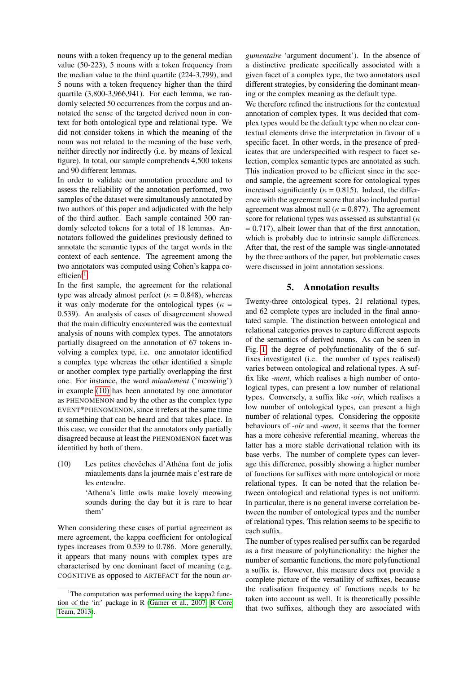nouns with a token frequency up to the general median value (50-223), 5 nouns with a token frequency from the median value to the third quartile (224-3,799), and 5 nouns with a token frequency higher than the third quartile (3,800-3,966,941). For each lemma, we randomly selected 50 occurrences from the corpus and annotated the sense of the targeted derived noun in context for both ontological type and relational type. We did not consider tokens in which the meaning of the noun was not related to the meaning of the base verb, neither directly nor indirectly (i.e. by means of lexical figure). In total, our sample comprehends 4,500 tokens and 90 different lemmas.

In order to validate our annotation procedure and to assess the reliability of the annotation performed, two samples of the dataset were simultanously annotated by two authors of this paper and adjudicated with the help of the third author. Each sample contained 300 randomly selected tokens for a total of 18 lemmas. Annotators followed the guidelines previously defined to annotate the semantic types of the target words in the context of each sentence. The agreement among the two annotators was computed using Cohen's kappa co- $efficient<sup>1</sup>$  $efficient<sup>1</sup>$  $efficient<sup>1</sup>$ .

In the first sample, the agreement for the relational type was already almost perfect ( $\kappa = 0.848$ ), whereas it was only moderate for the ontological types ( $\kappa$  = 0.539). An analysis of cases of disagreement showed that the main difficulty encountered was the contextual analysis of nouns with complex types. The annotators partially disagreed on the annotation of 67 tokens involving a complex type, i.e. one annotator identified a complex type whereas the other identified a simple or another complex type partially overlapping the first one. For instance, the word *miaulement* ('meowing') in example [\(10\)](#page-3-2) has been annotated by one annotator as PHENOMENON and by the other as the complex type EVENT\*PHENOMENON, since it refers at the same time at something that can be heard and that takes place. In this case, we consider that the annotators only partially disagreed because at least the PHENOMENON facet was identified by both of them.

<span id="page-3-2"></span> $(10)$  Les petites chevêches d'Athéna font de jolis miaulements dans la journée mais c'est rare de les entendre. 'Athena's little owls make lovely meowing

sounds during the day but it is rare to hear them'

When considering these cases of partial agreement as mere agreement, the kappa coefficient for ontological types increases from 0.539 to 0.786. More generally, it appears that many nouns with complex types are characterised by one dominant facet of meaning (e.g. COGNITIVE as opposed to ARTEFACT for the noun *ar-* *gumentaire* 'argument document'). In the absence of a distinctive predicate specifically associated with a given facet of a complex type, the two annotators used different strategies, by considering the dominant meaning or the complex meaning as the default type.

We therefore refined the instructions for the contextual annotation of complex types. It was decided that complex types would be the default type when no clear contextual elements drive the interpretation in favour of a specific facet. In other words, in the presence of predicates that are underspecified with respect to facet selection, complex semantic types are annotated as such. This indication proved to be efficient since in the second sample, the agreement score for ontological types increased significantly ( $\kappa = 0.815$ ). Indeed, the difference with the agreement score that also included partial agreement was almost null ( $\kappa = 0.877$ ). The agreement score for relational types was assessed as substantial ( $\kappa$  $= 0.717$ ), albeit lower than that of the first annotation, which is probably due to intrinsic sample differences. After that, the rest of the sample was single-annotated by the three authors of the paper, but problematic cases were discussed in joint annotation sessions.

#### 5. Annotation results

<span id="page-3-0"></span>Twenty-three ontological types, 21 relational types, and 62 complete types are included in the final annotated sample. The distinction between ontological and relational categories proves to capture different aspects of the semantics of derived nouns. As can be seen in Fig. [1,](#page-4-0) the degree of polyfunctionality of the 6 suffixes investigated (i.e. the number of types realised) varies between ontological and relational types. A suffix like *-ment*, which realises a high number of ontological types, can present a low number of relational types. Conversely, a suffix like *-oir*, which realises a low number of ontological types, can present a high number of relational types. Considering the opposite behaviours of *-oir* and *-ment*, it seems that the former has a more cohesive referential meaning, whereas the latter has a more stable derivational relation with its base verbs. The number of complete types can leverage this difference, possibly showing a higher number of functions for suffixes with more ontological or more relational types. It can be noted that the relation between ontological and relational types is not uniform. In particular, there is no general inverse correlation between the number of ontological types and the number of relational types. This relation seems to be specific to each suffix.

The number of types realised per suffix can be regarded as a first measure of polyfunctionality: the higher the number of semantic functions, the more polyfunctional a suffix is. However, this measure does not provide a complete picture of the versatility of suffixes, because the realisation frequency of functions needs to be taken into account as well. It is theoretically possible that two suffixes, although they are associated with

<span id="page-3-1"></span><sup>&</sup>lt;sup>1</sup>The computation was performed using the kappa2 function of the 'irr' package in R [\(Gamer et al., 2007;](#page-6-11) [R Core](#page-7-22) [Team, 2013\)](#page-7-22).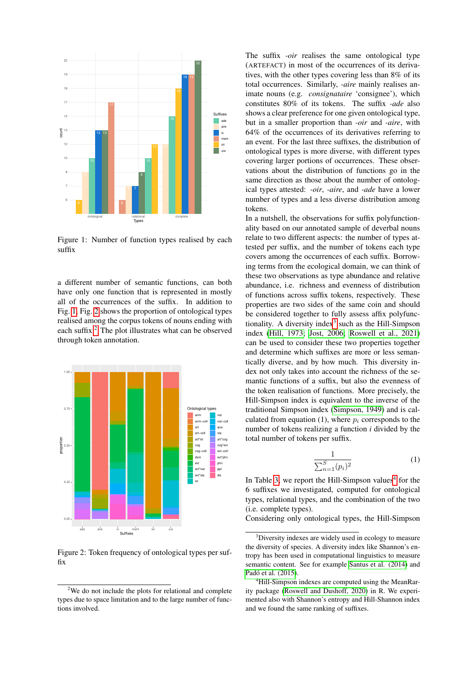

<span id="page-4-0"></span>Figure 1: Number of function types realised by each suffix

a different number of semantic functions, can both have only one function that is represented in mostly all of the occurrences of the suffix. In addition to Fig. [1,](#page-4-0) Fig. [2](#page-4-1) shows the proportion of ontological types realised among the corpus tokens of nouns ending with each suffix.<sup>[2](#page-4-2)</sup> The plot illustrates what can be observed through token annotation.



<span id="page-4-1"></span>Figure 2: Token frequency of ontological types per suffix

The suffix *-oir* realises the same ontological type (ARTEFACT) in most of the occurrences of its derivatives, with the other types covering less than 8% of its total occurrences. Similarly, *-aire* mainly realises animate nouns (e.g. *consignataire* 'consignee'), which constitutes 80% of its tokens. The suffix *-ade* also shows a clear preference for one given ontological type, but in a smaller proportion than *-oir* and *-aire*, with 64% of the occurrences of its derivatives referring to an event. For the last three suffixes, the distribution of ontological types is more diverse, with different types covering larger portions of occurrences. These observations about the distribution of functions go in the same direction as those about the number of ontological types attested: *-oir*, *-aire*, and *-ade* have a lower number of types and a less diverse distribution among tokens.

In a nutshell, the observations for suffix polyfunctionality based on our annotated sample of deverbal nouns relate to two different aspects: the number of types attested per suffix, and the number of tokens each type covers among the occurrences of each suffix. Borrowing terms from the ecological domain, we can think of these two observations as type abundance and relative abundance, i.e. richness and evenness of distribution of functions across suffix tokens, respectively. These properties are two sides of the same coin and should be considered together to fully assess affix polyfunctionality. A diversity index $3$  such as the Hill-Simpson index [\(Hill, 1973;](#page-6-12) [Jost, 2006;](#page-6-13) [Roswell et al., 2021\)](#page-7-23) can be used to consider these two properties together and determine which suffixes are more or less semantically diverse, and by how much. This diversity index not only takes into account the richness of the semantic functions of a suffix, but also the evenness of the token realisation of functions. More precisely, the Hill-Simpson index is equivalent to the inverse of the traditional Simpson index [\(Simpson, 1949\)](#page-7-24) and is calculated from equation (1), where  $p_i$  corresponds to the number of tokens realizing a function *i* divided by the total number of tokens per suffix.

$$
\frac{1}{\sum_{n=1}^{S} (p_i)^2}
$$
 (1)

In Table [3,](#page-5-0) we report the Hill-Simpson values<sup>[4](#page-4-4)</sup> for the 6 suffixes we investigated, computed for ontological types, relational types, and the combination of the two (i.e. complete types).

Considering only ontological types, the Hill-Simpson

<span id="page-4-2"></span><sup>2</sup>We do not include the plots for relational and complete types due to space limitation and to the large number of functions involved.

<span id="page-4-3"></span><sup>&</sup>lt;sup>3</sup>Diversity indexes are widely used in ecology to measure the diversity of species. A diversity index like Shannon's entropy has been used in computational linguistics to measure semantic content. See for example [Santus et al. \(2014\)](#page-7-25) and Padó et al. (2015).

<span id="page-4-4"></span><sup>&</sup>lt;sup>4</sup>Hill-Simpson indexes are computed using the MeanRarity package [\(Roswell and Dushoff, 2020\)](#page-7-27) in R. We experimented also with Shannon's entropy and Hill-Shannon index and we found the same ranking of suffixes.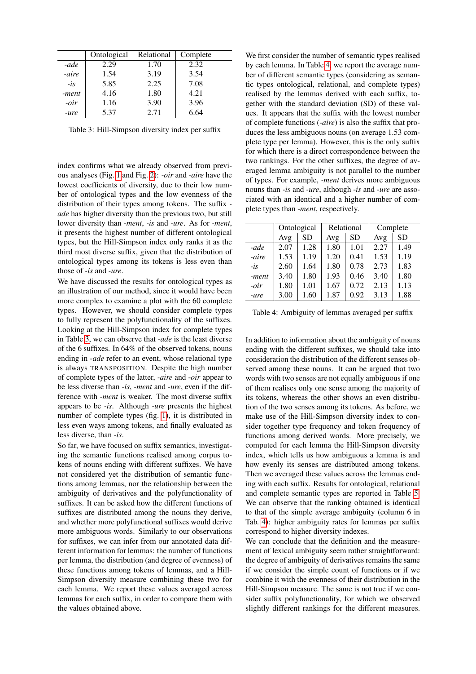|        | Ontological | Relational | Complete |
|--------|-------------|------------|----------|
| -ade   | 2.29        | 1.70       | 2.32     |
| -aire  | 1.54        | 3.19       | 3.54     |
| $-is$  | 5.85        | 2.25       | 7.08     |
| -ment  | 4.16        | 1.80       | 4.21     |
| $-oir$ | 1.16        | 3.90       | 3.96     |
| -ure   | 5.37        | 2.71       | 6.64     |

<span id="page-5-0"></span>Table 3: Hill-Simpson diversity index per suffix

index confirms what we already observed from previous analyses (Fig. [1](#page-4-0) and Fig. [2\)](#page-4-1): *-oir* and *-aire* have the lowest coefficients of diversity, due to their low number of ontological types and the low evenness of the distribution of their types among tokens. The suffix  *ade* has higher diversity than the previous two, but still lower diversity than *-ment*, *-is* and *-ure*. As for *-ment*, it presents the highest number of different ontological types, but the Hill-Simpson index only ranks it as the third most diverse suffix, given that the distribution of ontological types among its tokens is less even than those of *-is* and *-ure*.

We have discussed the results for ontological types as an illustration of our method, since it would have been more complex to examine a plot with the 60 complete types. However, we should consider complete types to fully represent the polyfunctionality of the suffixes. Looking at the Hill-Simpson index for complete types in Table [3,](#page-5-0) we can observe that *-ade* is the least diverse of the 6 suffixes. In 64% of the observed tokens, nouns ending in -*ade* refer to an event, whose relational type is always TRANSPOSITION. Despite the high number of complete types of the latter, *-aire* and -*oir* appear to be less diverse than *-is*, *-ment* and *-ure*, even if the difference with *-ment* is weaker. The most diverse suffix appears to be *-is*. Although *-ure* presents the highest number of complete types (fig. [1\)](#page-4-0), it is distributed in less even ways among tokens, and finally evaluated as less diverse, than *-is*.

So far, we have focused on suffix semantics, investigating the semantic functions realised among corpus tokens of nouns ending with different suffixes. We have not considered yet the distribution of semantic functions among lemmas, nor the relationship between the ambiguity of derivatives and the polyfunctionality of suffixes. It can be asked how the different functions of suffixes are distributed among the nouns they derive, and whether more polyfunctional suffixes would derive more ambiguous words. Similarly to our observations for suffixes, we can infer from our annotated data different information for lemmas: the number of functions per lemma, the distribution (and degree of evenness) of these functions among tokens of lemmas, and a Hill-Simpson diversity measure combining these two for each lemma. We report these values averaged across lemmas for each suffix, in order to compare them with the values obtained above.

We first consider the number of semantic types realised by each lemma. In Table [4,](#page-5-1) we report the average number of different semantic types (considering as semantic types ontological, relational, and complete types) realised by the lemmas derived with each suffix, together with the standard deviation (SD) of these values. It appears that the suffix with the lowest number of complete functions (*-aire*) is also the suffix that produces the less ambiguous nouns (on average 1.53 complete type per lemma). However, this is the only suffix for which there is a direct correspondence between the two rankings. For the other suffixes, the degree of averaged lemma ambiguity is not parallel to the number of types. For example, *-ment* derives more ambiguous nouns than *-is* and *-ure*, although -*is* and -*ure* are associated with an identical and a higher number of complete types than *-ment*, respectively.

|        | Ontological |           | Relational |           | Complete |           |
|--------|-------------|-----------|------------|-----------|----------|-----------|
|        | Avg         | <b>SD</b> | Avg        | <b>SD</b> | Avg      | <b>SD</b> |
| -ade   | 2.07        | 1.28      | 1.80       | 1.01      | 2.27     | 1.49      |
| -aire  | 1.53        | 1.19      | 1.20       | 0.41      | 1.53     | 1.19      |
| $-is$  | 2.60        | 1.64      | 1.80       | 0.78      | 2.73     | 1.83      |
| -ment  | 3.40        | 1.80      | 1.93       | 0.46      | 3.40     | 1.80      |
| $-oir$ | 1.80        | 1.01      | 1.67       | 0.72      | 2.13     | 1.13      |
| -ure   | 3.00        | 1.60      | 1.87       | 0.92      | 3.13     | 1.88      |

<span id="page-5-1"></span>Table 4: Ambiguity of lemmas averaged per suffix

In addition to information about the ambiguity of nouns ending with the different suffixes, we should take into consideration the distribution of the different senses observed among these nouns. It can be argued that two words with two senses are not equally ambiguous if one of them realises only one sense among the majority of its tokens, whereas the other shows an even distribution of the two senses among its tokens. As before, we make use of the Hill-Simpson diversity index to consider together type frequency and token frequency of functions among derived words. More precisely, we computed for each lemma the Hill-Simpson diversity index, which tells us how ambiguous a lemma is and how evenly its senses are distributed among tokens. Then we averaged these values across the lemmas ending with each suffix. Results for ontological, relational and complete semantic types are reported in Table [5.](#page-6-14) We can observe that the ranking obtained is identical to that of the simple average ambiguity (column 6 in Tab. [4\)](#page-5-1): higher ambiguity rates for lemmas per suffix correspond to higher diversity indexes.

We can conclude that the definition and the measurement of lexical ambiguity seem rather straightforward: the degree of ambiguity of derivatives remains the same if we consider the simple count of functions or if we combine it with the evenness of their distribution in the Hill-Simpson measure. The same is not true if we consider suffix polyfunctionality, for which we observed slightly different rankings for the different measures.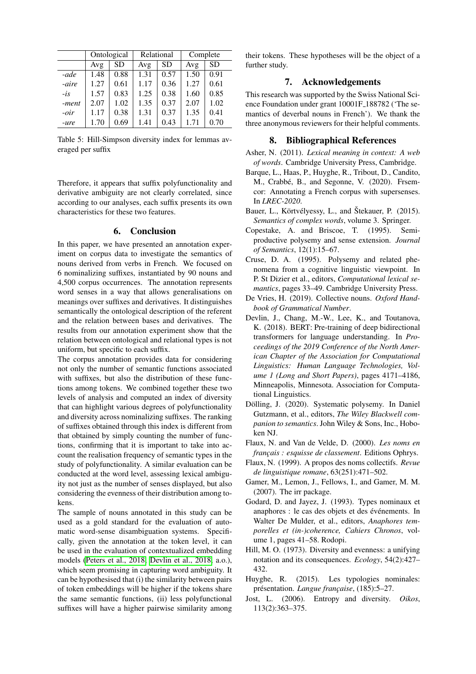|        | Ontological |           | Relational |           | Complete |           |
|--------|-------------|-----------|------------|-----------|----------|-----------|
|        | Avg         | <b>SD</b> | Avg        | <b>SD</b> | Avg      | <b>SD</b> |
| -ade   | 1.48        | 0.88      | 1.31       | 0.57      | 1.50     | 0.91      |
| -aire  | 1.27        | 0.61      | 1.17       | 0.36      | 1.27     | 0.61      |
| $-i$ s | 1.57        | 0.83      | 1.25       | 0.38      | 1.60     | 0.85      |
| -ment  | 2.07        | 1.02      | 1.35       | 0.37      | 2.07     | 1.02      |
| $-oir$ | 1.17        | 0.38      | 1.31       | 0.37      | 1.35     | 0.41      |
| -ure   | 1.70        | 0.69      | 1.41       | 0.43      | 1.71     | 0.70      |

<span id="page-6-14"></span>Table 5: Hill-Simpson diversity index for lemmas averaged per suffix

Therefore, it appears that suffix polyfunctionality and derivative ambiguity are not clearly correlated, since according to our analyses, each suffix presents its own characteristics for these two features.

#### 6. Conclusion

In this paper, we have presented an annotation experiment on corpus data to investigate the semantics of nouns derived from verbs in French. We focused on 6 nominalizing suffixes, instantiated by 90 nouns and 4,500 corpus occurrences. The annotation represents word senses in a way that allows generalisations on meanings over suffixes and derivatives. It distinguishes semantically the ontological description of the referent and the relation between bases and derivatives. The results from our annotation experiment show that the relation between ontological and relational types is not uniform, but specific to each suffix.

The corpus annotation provides data for considering not only the number of semantic functions associated with suffixes, but also the distribution of these functions among tokens. We combined together these two levels of analysis and computed an index of diversity that can highlight various degrees of polyfunctionality and diversity across nominalizing suffixes. The ranking of suffixes obtained through this index is different from that obtained by simply counting the number of functions, confirming that it is important to take into account the realisation frequency of semantic types in the study of polyfunctionality. A similar evaluation can be conducted at the word level, assessing lexical ambiguity not just as the number of senses displayed, but also considering the evenness of their distribution among tokens.

The sample of nouns annotated in this study can be used as a gold standard for the evaluation of automatic word-sense disambiguation systems. Specifically, given the annotation at the token level, it can be used in the evaluation of contextualized embedding models [\(Peters et al., 2018;](#page-7-28) [Devlin et al., 2018,](#page-6-15) a.o.), which seem promising in capturing word ambiguity. It can be hypothesised that (i) the similarity between pairs of token embeddings will be higher if the tokens share the same semantic functions, (ii) less polyfunctional suffixes will have a higher pairwise similarity among their tokens. These hypotheses will be the object of a further study.

# 7. Acknowledgements

This research was supported by the Swiss National Science Foundation under grant 10001F 188782 ('The semantics of deverbal nouns in French'). We thank the three anonymous reviewers for their helpful comments.

#### 8. Bibliographical References

- <span id="page-6-7"></span>Asher, N. (2011). *Lexical meaning in context: A web of words*. Cambridge University Press, Cambridge.
- <span id="page-6-1"></span>Barque, L., Haas, P., Huyghe, R., Tribout, D., Candito, M., Crabbé, B., and Segonne, V. (2020). Frsemcor: Annotating a French corpus with supersenses. In *LREC-2020*.
- <span id="page-6-0"></span>Bauer, L., Körtvélyessy, L., and Štekauer, P. (2015). *Semantics of complex words*, volume 3. Springer.
- <span id="page-6-5"></span>Copestake, A. and Briscoe, T. (1995). Semiproductive polysemy and sense extension. *Journal of Semantics*, 12(1):15–67.
- <span id="page-6-6"></span>Cruse, D. A. (1995). Polysemy and related phenomena from a cognitive linguistic viewpoint. In P. St Dizier et al., editors, *Computational lexical semantics*, pages 33–49. Cambridge University Press.
- <span id="page-6-10"></span>De Vries, H. (2019). Collective nouns. *Oxford Handbook of Grammatical Number*.
- <span id="page-6-15"></span>Devlin, J., Chang, M.-W., Lee, K., and Toutanova, K. (2018). BERT: Pre-training of deep bidirectional transformers for language understanding. In *Proceedings of the 2019 Conference of the North American Chapter of the Association for Computational Linguistics: Human Language Technologies, Volume 1 (Long and Short Papers)*, pages 4171–4186, Minneapolis, Minnesota. Association for Computational Linguistics.
- <span id="page-6-8"></span>Dölling, J. (2020). Systematic polysemy. In Daniel Gutzmann, et al., editors, *The Wiley Blackwell companion to semantics*. John Wiley & Sons, Inc., Hoboken NJ.
- <span id="page-6-3"></span>Flaux, N. and Van de Velde, D. (2000). *Les noms en français : esquisse de classement*. Editions Ophrys.
- <span id="page-6-9"></span>Flaux, N. (1999). A propos des noms collectifs. *Revue de linguistique romane*, 63(251):471–502.
- <span id="page-6-11"></span>Gamer, M., Lemon, J., Fellows, I., and Gamer, M. M. (2007). The irr package.
- <span id="page-6-2"></span>Godard, D. and Jayez, J. (1993). Types nominaux et anaphores : le cas des objets et des événements. In Walter De Mulder, et al., editors, *Anaphores temporelles et (in-)coherence, Cahiers Chronos*, volume 1, pages 41–58. Rodopi.
- <span id="page-6-12"></span>Hill, M. O. (1973). Diversity and evenness: a unifying notation and its consequences. *Ecology*, 54(2):427– 432.
- <span id="page-6-4"></span>Huyghe, R. (2015). Les typologies nominales: présentation. *Langue française*, (185): 5–27.
- <span id="page-6-13"></span>Jost, L. (2006). Entropy and diversity. *Oikos*, 113(2):363–375.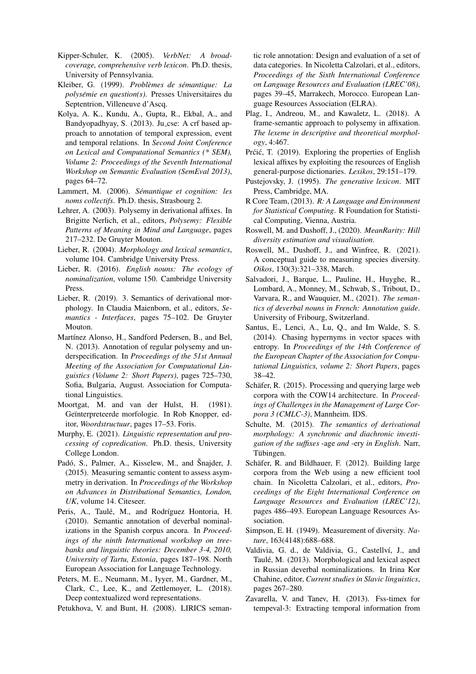- <span id="page-7-18"></span>Kipper-Schuler, K. (2005). *VerbNet: A broadcoverage, comprehensive verb lexicon*. Ph.D. thesis, University of Pennsylvania.
- <span id="page-7-15"></span>Kleiber, G. (1999). *Problèmes de sémantique: La polysémie en question(s)*. Presses Universitaires du Septentrion, Villeneuve d'Ascq.
- <span id="page-7-8"></span>Kolya, A. K., Kundu, A., Gupta, R., Ekbal, A., and Bandyopadhyay, S. (2013). Ju<sub>cse</sub>: A crf based approach to annotation of temporal expression, event and temporal relations. In *Second Joint Conference on Lexical and Computational Semantics (\* SEM), Volume 2: Proceedings of the Seventh International Workshop on Semantic Evaluation (SemEval 2013)*, pages 64–72.
- <span id="page-7-17"></span>Lammert, M. (2006). *Semantique et cognition: les ´ noms collectifs*. Ph.D. thesis, Strasbourg 2.
- <span id="page-7-4"></span>Lehrer, A. (2003). Polysemy in derivational affixes. In Brigitte Nerlich, et al., editors, *Polysemy: Flexible Patterns of Meaning in Mind and Language*, pages 217–232. De Gruyter Mouton.
- <span id="page-7-0"></span>Lieber, R. (2004). *Morphology and lexical semantics*, volume 104. Cambridge University Press.
- <span id="page-7-7"></span>Lieber, R. (2016). *English nouns: The ecology of nominalization*, volume 150. Cambridge University Press.
- <span id="page-7-2"></span>Lieber, R. (2019). 3. Semantics of derivational morphology. In Claudia Maienborn, et al., editors, *Semantics - Interfaces*, pages 75–102. De Gruyter Mouton.
- <span id="page-7-10"></span>Martínez Alonso, H., Sandford Pedersen, B., and Bel, N. (2013). Annotation of regular polysemy and underspecification. In *Proceedings of the 51st Annual Meeting of the Association for Computational Linguistics (Volume 2: Short Papers)*, pages 725–730, Sofia, Bulgaria, August. Association for Computational Linguistics.
- <span id="page-7-3"></span>Moortgat, M. and van der Hulst, H. (1981). Geïnterpreteerde morfologie. In Rob Knopper, editor, *Woordstructuur*, pages 17–53. Foris.
- <span id="page-7-16"></span>Murphy, E. (2021). *Linguistic representation and processing of copredication*. Ph.D. thesis, University College London.
- <span id="page-7-26"></span>Padó, S., Palmer, A., Kisselew, M., and Šnajder, J. (2015). Measuring semantic content to assess asymmetry in derivation. In *Proceedings of the Workshop on Advances in Distributional Semantics, London, UK*, volume 14. Citeseer.
- <span id="page-7-12"></span>Peris, A., Taulé, M., and Rodríguez Hontoria, H. (2010). Semantic annotation of deverbal nominalizations in the Spanish corpus ancora. In *Proceedings of the ninth International workshop on treebanks and linguistic theories: December 3-4, 2010, University of Tartu, Estonia*, pages 187–198. North European Association for Language Technology.
- <span id="page-7-28"></span>Peters, M. E., Neumann, M., Iyyer, M., Gardner, M., Clark, C., Lee, K., and Zettlemoyer, L. (2018). Deep contextualized word representations.

<span id="page-7-19"></span>Petukhova, V. and Bunt, H. (2008). LIRICS seman-

tic role annotation: Design and evaluation of a set of data categories. In Nicoletta Calzolari, et al., editors, *Proceedings of the Sixth International Conference on Language Resources and Evaluation (LREC'08)*, pages 39–45, Marrakech, Morocco. European Language Resources Association (ELRA).

- <span id="page-7-5"></span>Plag, I., Andreou, M., and Kawaletz, L. (2018). A frame-semantic approach to polysemy in affixation. *The lexeme in descriptive and theoretical morphology*, 4:467.
- <span id="page-7-6"></span>Prćić, T. (2019). Exploring the properties of English lexical affixes by exploiting the resources of English general-purpose dictionaries. *Lexikos*, 29:151–179.
- <span id="page-7-14"></span>Pustejovsky, J. (1995). *The generative lexicon*. MIT Press, Cambridge, MA.
- <span id="page-7-22"></span>R Core Team, (2013). *R: A Language and Environment for Statistical Computing*. R Foundation for Statistical Computing, Vienna, Austria.
- <span id="page-7-27"></span>Roswell, M. and Dushoff, J., (2020). *MeanRarity: Hill diversity estimation and visualisation*.
- <span id="page-7-23"></span>Roswell, M., Dushoff, J., and Winfree, R. (2021). A conceptual guide to measuring species diversity. *Oikos*, 130(3):321–338, March.
- <span id="page-7-13"></span>Salvadori, J., Barque, L., Pauline, H., Huyghe, R., Lombard, A., Monney, M., Schwab, S., Tribout, D., Varvara, R., and Wauquier, M., (2021). *The semantics of deverbal nouns in French: Annotation guide*. University of Fribourg, Switzerland.
- <span id="page-7-25"></span>Santus, E., Lenci, A., Lu, Q., and Im Walde, S. S. (2014). Chasing hypernyms in vector spaces with entropy. In *Proceedings of the 14th Conference of the European Chapter of the Association for Computational Linguistics, volume 2: Short Papers*, pages 38–42.
- <span id="page-7-21"></span>Schäfer, R.  $(2015)$ . Processing and querying large web corpora with the COW14 architecture. In *Proceedings of Challenges in the Management of Large Corpora 3 (CMLC-3)*, Mannheim. IDS.
- <span id="page-7-1"></span>Schulte, M. (2015). *The semantics of derivational morphology: A synchronic and diachronic investigation of the suffixes* -age *and* -ery *in English*. Narr, Tübingen.
- <span id="page-7-20"></span>Schäfer, R. and Bildhauer, F. (2012). Building large corpora from the Web using a new efficient tool chain. In Nicoletta Calzolari, et al., editors, *Proceedings of the Eight International Conference on Language Resources and Evaluation (LREC'12)*, pages 486–493. European Language Resources Association.
- <span id="page-7-24"></span>Simpson, E. H. (1949). Measurement of diversity. *Nature*, 163(4148):688–688.
- <span id="page-7-11"></span>Valdivia, G. d., de Valdivia, G., Castellví, J., and Taulé, M. (2013). Morphological and lexical aspect in Russian deverbal nominalizations. In Irina Kor Chahine, editor, *Current studies in Slavic linguistics*, pages 267–280.
- <span id="page-7-9"></span>Zavarella, V. and Tanev, H. (2013). Fss-timex for tempeval-3: Extracting temporal information from